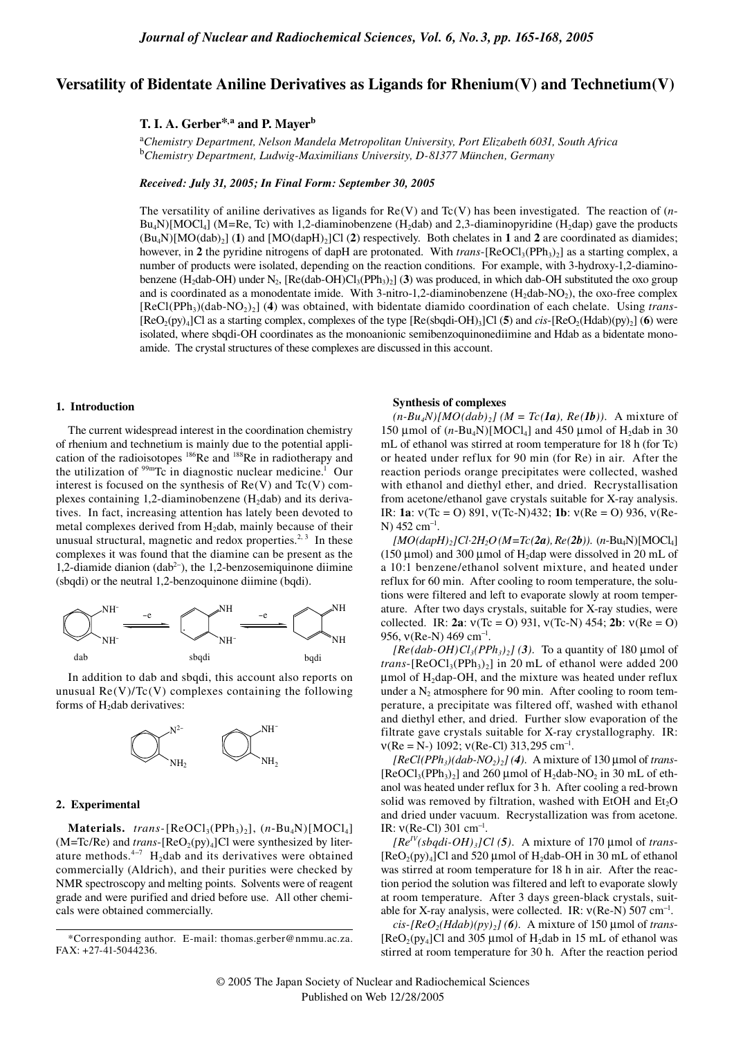# **Versatility of Bidentate Aniline Derivatives as Ligands for Rhenium(V) and Technetium(V)**

# **T. I. A. Gerber\*,a and P. Mayer<sup>b</sup>**

<sup>a</sup>*Chemistry Department, Nelson Mandela Metropolitan University, Port Elizabeth 6031, South Africa* <sup>b</sup>*Chemistry Department, Ludwig-Maximilians University, D-81377 München, Germany*

*Received: July 31, 2005; In Final Form: September 30, 2005*

The versatility of aniline derivatives as ligands for Re(V) and Tc(V) has been investigated. The reaction of (*n*- $Bu_4N$ [MOCl<sub>4</sub>] (M=Re, Tc) with 1,2-diaminobenzene (H<sub>2</sub>dab) and 2,3-diaminopyridine (H<sub>2</sub>dap) gave the products  $(Bu_4N)[MO(dab)_2]$  (1) and  $[MO(dapH)_2]C1$  (2) respectively. Both chelates in 1 and 2 are coordinated as diamides; however, in **2** the pyridine nitrogens of dapH are protonated. With *trans*-[ReOCl<sub>3</sub>(PPh<sub>3</sub>)<sub>2</sub>] as a starting complex, a number of products were isolated, depending on the reaction conditions. For example, with 3-hydroxy-1,2-diaminobenzene (H<sub>2</sub>dab-OH) under N<sub>2</sub>, [Re(dab-OH)Cl<sub>3</sub>(PPh<sub>3</sub>)<sub>2</sub>] (**3**) was produced, in which dab-OH substituted the oxo group and is coordinated as a monodentate imide. With 3-nitro-1,2-diaminobenzene  $(H_2dab-NO_2)$ , the oxo-free complex [ReCl(PPh3)(dab-NO2)2] (**4**) was obtained, with bidentate diamido coordination of each chelate. Using *trans*-  $[ReO_2(py)_4]$ Cl as a starting complex, complexes of the type  $[Re(sbqdi-OH)_3]$ Cl (5) and *cis*- $[ReO_2(Hdab)(py)_2]$  (6) were isolated, where sbqdi-OH coordinates as the monoanionic semibenzoquinonediimine and Hdab as a bidentate monoamide. The crystal structures of these complexes are discussed in this account.

#### **1. Introduction**

The current widespread interest in the coordination chemistry of rhenium and technetium is mainly due to the potential application of the radioisotopes 186Re and 188Re in radiotherapy and the utilization of  $99m$ Tc in diagnostic nuclear medicine.<sup>1</sup> Our interest is focused on the synthesis of  $Re(V)$  and  $Tr(V)$  complexes containing 1,2-diaminobenzene  $(H_2dab)$  and its derivatives. In fact, increasing attention has lately been devoted to metal complexes derived from H<sub>2</sub>dab, mainly because of their unusual structural, magnetic and redox properties.<sup>2, 3</sup> In these complexes it was found that the diamine can be present as the 1,2-diamide dianion (dab<sup>2−</sup>), the 1,2-benzosemiquinone diimine (sbqdi) or the neutral 1,2-benzoquinone diimine (bqdi).



In addition to dab and sbqdi, this account also reports on unusual  $Re(V)/Tc(V)$  complexes containing the following forms of  $H_2$ dab derivatives:



## **2. Experimental**

 $\textbf{Materials.}$  *trans*-[ReOCl<sub>3</sub>(PPh<sub>3</sub>)<sub>2</sub>], (*n*-Bu<sub>4</sub>N)[MOCl<sub>4</sub>]  $(M=Te/Re)$  and *trans*- $[ReO<sub>2</sub>(py)<sub>4</sub>]$ Cl were synthesized by literature methods.<sup>4-7</sup> H<sub>2</sub>dab and its derivatives were obtained commercially (Aldrich), and their purities were checked by NMR spectroscopy and melting points. Solvents were of reagent grade and were purified and dried before use. All other chemicals were obtained commercially.

#### **Synthesis of complexes**

 $(n-Bu_4N)[MO(dab)_2]$  ( $M = T_c(1a)$ ,  $Re(1b)$ ). A mixture of 150 µmol of  $(n-Bu_4N)[MOCl_4]$  and 450 µmol of H<sub>2</sub>dab in 30 mL of ethanol was stirred at room temperature for 18 h (for Tc) or heated under reflux for 90 min (for Re) in air. After the reaction periods orange precipitates were collected, washed with ethanol and diethyl ether, and dried. Recrystallisation from acetone/ethanol gave crystals suitable for X-ray analysis. IR: **1a**: ν(Tc = O) 891, ν(Tc-N)432; **1b**: ν(Re = O) 936, ν(Re-N) 452 cm<sup>-1</sup>.

 $[MO(dapH),]Cl·2H<sub>2</sub>O (M=Tc(2a), Re(2b))$ . (*n*-Bu<sub>4</sub>N)[MOCl<sub>4</sub>] (150 µmol) and 300 µmol of H<sub>2</sub>dap were dissolved in 20 mL of a 10:1 benzene/ethanol solvent mixture, and heated under reflux for 60 min. After cooling to room temperature, the solutions were filtered and left to evaporate slowly at room temperature. After two days crystals, suitable for X-ray studies, were collected. IR: **2a**: ν(Tc = O) 931, ν(Tc-N) 454; **2b**: ν(Re = O) 956,  $v(Re-N)$  469 cm<sup>-1</sup>.

 $[Re(dab-OH)Cl<sub>3</sub>(PPh<sub>3</sub>)<sub>2</sub>]$  (3). To a quantity of 180 µmol of *trans*-[ $ReOCl<sub>3</sub>(PPh<sub>3</sub>)<sub>2</sub>$ ] in 20 mL of ethanol were added 200  $\mu$ mol of H<sub>2</sub>dap-OH, and the mixture was heated under reflux under a  $N_2$  atmosphere for 90 min. After cooling to room temperature, a precipitate was filtered off, washed with ethanol and diethyl ether, and dried. Further slow evaporation of the filtrate gave crystals suitable for X-ray crystallography. IR:  $v(Re = N-) 1092; v(Re-Cl) 313,295 cm^{-1}.$ 

 $[ReCl(PPh<sub>3</sub>)(dab-NO<sub>2</sub>)<sub>2</sub>]$  (4). A mixture of 130 µmol of *trans*- $[ReOCl<sub>3</sub>(PPh<sub>3</sub>)<sub>2</sub>]$  and 260 µmol of H<sub>2</sub>dab-NO<sub>2</sub> in 30 mL of ethanol was heated under reflux for 3 h. After cooling a red-brown solid was removed by filtration, washed with EtOH and  $Et<sub>2</sub>O$ and dried under vacuum. Recrystallization was from acetone. IR:  $v(Re-Cl)$  301 cm<sup>-1</sup>.

 $[Re^{IV}(sbgdi-OH)<sub>3</sub>]Cl (5)$ . A mixture of 170 µmol of *trans*- $[ReO<sub>2</sub>(py)<sub>4</sub>]$ Cl and 520 µmol of H<sub>2</sub>dab-OH in 30 mL of ethanol was stirred at room temperature for 18 h in air. After the reaction period the solution was filtered and left to evaporate slowly at room temperature. After 3 days green-black crystals, suitable for X-ray analysis, were collected. IR:  $v(Re-N)$  507 cm<sup>-1</sup>.

 $cis$ -[ $ReO_2(Hdab)(py)$ ] (6). A mixture of 150 µmol of *trans*-[ $\text{ReO}_2$ (py<sub>4</sub>]Cl and 305 µmol of H<sub>2</sub>dab in 15 mL of ethanol was stirred at room temperature for 30 h. After the reaction period

<sup>\*</sup>Corresponding author. E-mail: thomas.gerber@nmmu.ac.za. FAX: +27-41-5044236.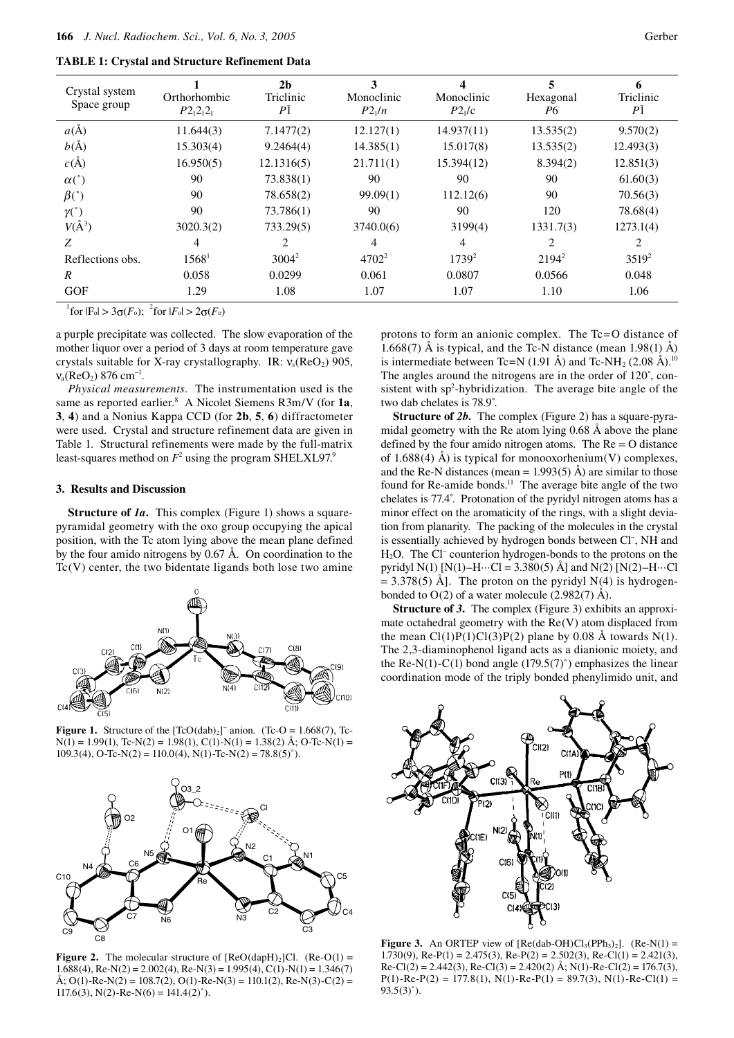|  |  |  |  |  |  | <b>TABLE 1: Crystal and Structure Refinement Data</b> |  |
|--|--|--|--|--|--|-------------------------------------------------------|--|
|--|--|--|--|--|--|-------------------------------------------------------|--|

| Crystal system<br>Space group | Orthorhombic<br>$P2_12_12_1$ | 2 <sub>b</sub><br>Triclinic<br>P <sub>1</sub> | Monoclinic<br>$P2_1/n$ | Monoclinic<br>P2 <sub>1</sub> /c | Hexagonal<br>Р6 | Triclinic<br>P <sub>1</sub> |
|-------------------------------|------------------------------|-----------------------------------------------|------------------------|----------------------------------|-----------------|-----------------------------|
| $a(\AA)$                      | 11.644(3)                    | 7.1477(2)                                     | 12.127(1)              | 14.937(11)                       | 13.535(2)       | 9.570(2)                    |
| $b(\AA)$                      | 15.303(4)                    | 9.2464(4)                                     | 14.385(1)              | 15.017(8)                        | 13.535(2)       | 12.493(3)                   |
| $c(\AA)$                      | 16.950(5)                    | 12.1316(5)                                    | 21.711(1)              | 15.394(12)                       | 8.394(2)        | 12.851(3)                   |
| $\alpha$ <sup>o</sup> )       | 90                           | 73.838(1)                                     | 90                     | 90                               | 90              | 61.60(3)                    |
| $\beta$ <sup>c</sup> )        | 90                           | 78.658(2)                                     | 99.09(1)               | 112.12(6)                        | 90              | 70.56(3)                    |
| $\gamma(^\circ)$              | 90                           | 73.786(1)                                     | 90                     | 90                               | 120             | 78.68(4)                    |
| $V(A^3)$                      | 3020.3(2)                    | 733.29(5)                                     | 3740.0(6)              | 3199(4)                          | 1331.7(3)       | 1273.1(4)                   |
| Z                             | 4                            | 2                                             | 4                      | 4                                | 2               | 2                           |
| Reflections obs.              | 1568 <sup>1</sup>            | $3004^2$                                      | $4702^2$               | $1739^2$                         | $2194^2$        | $3519^2$                    |
| $\boldsymbol{R}$              | 0.058                        | 0.0299                                        | 0.061                  | 0.0807                           | 0.0566          | 0.048                       |
| <b>GOF</b>                    | 1.29                         | 1.08                                          | 1.07                   | 1.07                             | 1.10            | 1.06                        |

 $^{1}$ for  $|F_{0}| > 3\sigma(F_{0})$ ; <sup>2</sup>for  $|F_{0}| > 2\sigma(F_{0})$ 

a purple precipitate was collected. The slow evaporation of the mother liquor over a period of 3 days at room temperature gave crystals suitable for X-ray crystallography. IR:  $v_s(ReO_2)$  905,  $v_a(ReO_2)$  876 cm<sup>-1</sup>.

*Physical measurements.* The instrumentation used is the same as reported earlier.8 A Nicolet Siemens R3m/V (for **1a**, **3**, **4**) and a Nonius Kappa CCD (for **2b**, **5**, **6**) diffractometer were used. Crystal and structure refinement data are given in Table 1. Structural refinements were made by the full-matrix least-squares method on  $F^2$  using the program SHELXL97.<sup>9</sup>

#### **3. Results and Discussion**

**Structure of** *1a*. This complex (Figure 1) shows a squarepyramidal geometry with the oxo group occupying the apical position, with the Tc atom lying above the mean plane defined by the four amido nitrogens by 0.67 Å. On coordination to the  $Tc(V)$  center, the two bidentate ligands both lose two amine



**Figure 1.** Structure of the  $[TeO(dab)_2]$ <sup>-</sup> anion. (Tc-O = 1.668(7), Tc- $N(1) = 1.99(1)$ , Tc- $N(2) = 1.98(1)$ , C(1)- $N(1) = 1.38(2)$  Å; O-Tc- $N(1) =$ 109.3(4), O-Tc-N(2) = 110.0(4), N(1)-Tc-N(2) = 78.8(5)<sup>°</sup>).



**Figure 2.** The molecular structure of  $[ReO(dapH)<sub>2</sub>]Cl.$   $(Re-O(1) =$ 1.688(4), Re-N(2) = 2.002(4), Re-N(3) = 1.995(4), C(1)-N(1) = 1.346(7)  $\text{A}; \text{O}(1)$ -Re-N(2) = 108.7(2), O(1)-Re-N(3) = 110.1(2), Re-N(3)-C(2) =  $117.6(3)$ , N(2)-Re-N(6) =  $141.4(2)$ °).

protons to form an anionic complex. The Tc=O distance of 1.668(7)  $\AA$  is typical, and the Tc-N distance (mean 1.98(1)  $\AA$ ) is intermediate between Tc=N (1.91 Å) and Tc-NH<sub>2</sub> (2.08 Å).<sup>10</sup> The angles around the nitrogens are in the order of 120˚, consistent with  $sp<sup>2</sup>$ -hybridization. The average bite angle of the two dab chelates is 78.9˚.

**Structure of 2b.** The complex (Figure 2) has a square-pyramidal geometry with the Re atom lying 0.68 Å above the plane defined by the four amido nitrogen atoms. The Re = O distance of 1.688(4) Å) is typical for monooxorhenium(V) complexes, and the Re-N distances (mean =  $1.993(5)$  Å) are similar to those found for Re-amide bonds.<sup>11</sup> The average bite angle of the two chelates is 77.4˚. Protonation of the pyridyl nitrogen atoms has a minor effect on the aromaticity of the rings, with a slight deviation from planarity. The packing of the molecules in the crystal is essentially achieved by hydrogen bonds between Cl-, NH and H<sub>2</sub>O. The Cl<sup>−</sup> counterion hydrogen-bonds to the protons on the pyridyl N(1)  $[N(1) - H \cdots Cl = 3.380(5)$  Å] and N(2)  $[N(2) - H \cdots Cl]$  $= 3.378(5)$  Å]. The proton on the pyridyl N(4) is hydrogenbonded to  $O(2)$  of a water molecule (2.982(7) Å).

**Structure of** *3***.** The complex (Figure 3) exhibits an approximate octahedral geometry with the Re(V) atom displaced from the mean  $Cl(1)P(1)Cl(3)P(2)$  plane by 0.08 Å towards N(1). The 2,3-diaminophenol ligand acts as a dianionic moiety, and the Re-N(1)-C(1) bond angle  $(179.5(7)°)$  emphasizes the linear coordination mode of the triply bonded phenylimido unit, and



**Figure 3.** An ORTEP view of  $[Re(dab-OH)Cl_3(PPh_3)_2]$ .  $(Re-N(1) =$ 1.730(9), Re-P(1) = 2.475(3), Re-P(2) = 2.502(3), Re-Cl(1) = 2.421(3),  $\text{Re-Cl}(2) = 2.442(3), \text{Re-Cl}(3) = 2.420(2) \text{ Å}; \text{N}(1) - \text{Re-Cl}(2) = 176.7(3),$  $P(1)$ -Re-P(2) = 177.8(1), N(1)-Re-P(1) = 89.7(3), N(1)-Re-Cl(1) =  $93.5(3)°$ ).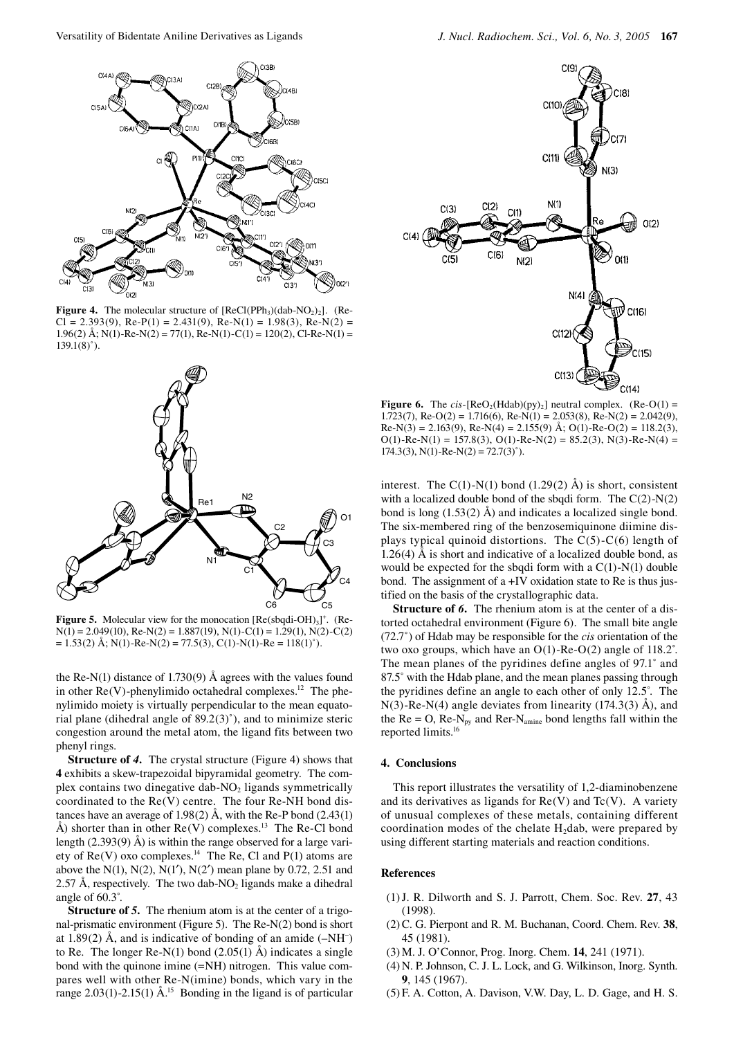

**Figure 4.** The molecular structure of  $[ReCl(PPh<sub>3</sub>)(dab-NO<sub>2</sub>)<sub>2</sub>]$ . (Re- $Cl = 2.393(9)$ , Re-P(1) = 2.431(9), Re-N(1) = 1.98(3), Re-N(2) = 1.96(2) Å; N(1)-Re-N(2) = 77(1), Re-N(1)-C(1) = 120(2), Cl-Re-N(1) =  $139.1(8)°$ 



Figure 5. Molecular view for the monocation [Re(sbqdi-OH)<sub>3</sub>]<sup>+</sup>. (Re- $N(1) = 2.049(10), Re-N(2) = 1.887(19), N(1) - C(1) = 1.29(1), N(2) - C(2)$  $= 1.53(2)$  Å; N(1)-Re-N(2) = 77.5(3), C(1)-N(1)-Re = 118(1)<sup>°</sup>).

the Re-N(1) distance of 1.730(9)  $\AA$  agrees with the values found in other  $Re(V)$ -phenylimido octahedral complexes.<sup>12</sup> The phenylimido moiety is virtually perpendicular to the mean equatorial plane (dihedral angle of 89.2(3)˚), and to minimize steric congestion around the metal atom, the ligand fits between two phenyl rings.

**Structure of** *4***.** The crystal structure (Figure 4) shows that **4** exhibits a skew-trapezoidal bipyramidal geometry. The complex contains two dinegative dab- $NO<sub>2</sub>$  ligands symmetrically coordinated to the Re(V) centre. The four Re-NH bond distances have an average of 1.98(2) Å, with the Re-P bond (2.43(1) Å) shorter than in other  $Re(V)$  complexes.<sup>13</sup> The Re-Cl bond length (2.393(9) Å) is within the range observed for a large variety of  $Re(V)$  oxo complexes.<sup>14</sup> The Re, Cl and P(1) atoms are above the  $N(1)$ ,  $N(2)$ ,  $N(1')$ ,  $N(2')$  mean plane by 0.72, 2.51 and 2.57 Å, respectively. The two dab-NO<sub>2</sub> ligands make a dihedral angle of 60.3˚.

**Structure of** *5***.** The rhenium atom is at the center of a trigonal-prismatic environment (Figure 5). The Re-N(2) bond is short at 1.89(2) Å, and is indicative of bonding of an amide  $(-NH^-)$ to Re. The longer Re-N(1) bond  $(2.05(1)$  Å) indicates a single bond with the quinone imine (=NH) nitrogen. This value compares well with other Re-N(imine) bonds, which vary in the range  $2.03(1)$ -2.15(1) Å.<sup>15</sup> Bonding in the ligand is of particular



**Figure 6.** The *cis*-[ReO<sub>2</sub>(Hdab)(py)<sub>2</sub>] neutral complex. (Re-O(1) = 1.723(7), Re-O(2) = 1.716(6), Re-N(1) = 2.053(8), Re-N(2) = 2.042(9),  $Re-N(3) = 2.163(9)$ ,  $Re-N(4) = 2.155(9)$  Å;  $O(1)$ - $Re-O(2) = 118.2(3)$ ,  $O(1)$ -Re-N(1) = 157.8(3),  $O(1)$ -Re-N(2) = 85.2(3), N(3)-Re-N(4) =  $174.3(3)$ , N(1)-Re-N(2) =  $72.7(3)$ °).

interest. The  $C(1)$ -N(1) bond (1.29(2) Å) is short, consistent with a localized double bond of the sbqdi form. The  $C(2)-N(2)$ bond is long (1.53(2) Å) and indicates a localized single bond. The six-membered ring of the benzosemiquinone diimine displays typical quinoid distortions. The C(5)-C(6) length of  $1.26(4)$  Å is short and indicative of a localized double bond, as would be expected for the sbqdi form with a  $C(1)-N(1)$  double bond. The assignment of a +IV oxidation state to Re is thus justified on the basis of the crystallographic data.

**Structure of 6.** The rhenium atom is at the center of a distorted octahedral environment (Figure 6). The small bite angle (72.7˚) of Hdab may be responsible for the *cis* orientation of the two oxo groups, which have an O(1)-Re-O(2) angle of 118.2˚. The mean planes of the pyridines define angles of 97.1˚ and 87.5° with the Hdab plane, and the mean planes passing through the pyridines define an angle to each other of only 12.5˚. The  $N(3)$ -Re-N(4) angle deviates from linearity (174.3(3) Å), and the  $Re = O$ ,  $Re-N_{py}$  and  $Re-N_{amine}$  bond lengths fall within the reported limits.16

### **4. Conclusions**

This report illustrates the versatility of 1,2-diaminobenzene and its derivatives as ligands for  $Re(V)$  and  $Tr(V)$ . A variety of unusual complexes of these metals, containing different coordination modes of the chelate  $H_2$ dab, were prepared by using different starting materials and reaction conditions.

### **References**

- (1) J. R. Dilworth and S. J. Parrott, Chem. Soc. Rev. **27**, 43 (1998).
- (2) C. G. Pierpont and R. M. Buchanan, Coord. Chem. Rev. **38**, 45 (1981).
- (3) M. J. O'Connor, Prog. Inorg. Chem. **14**, 241 (1971).
- (4) N. P. Johnson, C. J. L. Lock, and G. Wilkinson, Inorg. Synth. **9**, 145 (1967).
- (5) F. A. Cotton, A. Davison, V.W. Day, L. D. Gage, and H. S.